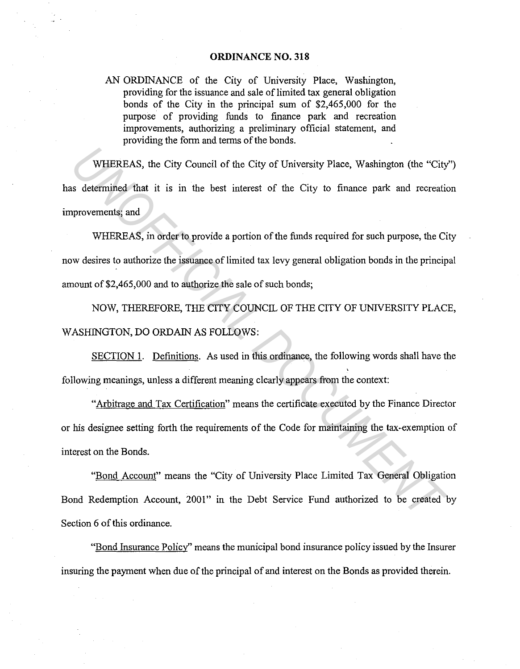#### **ORDINANCE NO. 318**

AN ORDINANCE of the City of University Place, Washington, providing for the issuance and sale of limited tax general obligation bonds of the City in the principal sum of \$2,465,000 for the purpose of providing funds to finance park and recreation improvements, authorizing a preliminary official statement, and providing the form and terms of the bonds.

WHEREAS, the City Council of the City of University Place, Washington (the "City") has determined that it is in the best interest of the City to finance park and recreation improvements; and

WHEREAS, in order to provide a portion of the funds required for such purpose, the City now desires to authorize the issuance of limited tax levy general obligation bonds in the principal amount of \$2,465,000 and to authorize the sale of such bonds; WHEREAS, the City Council of the City of University Place, Washington (the "City statermined that it is in the best interest of the City to finance park and recreating<br>provements; and<br>WHEREAS, in order to provide a portion

NOW, THEREFORE, THE CITY COUNCIL OF THE CITY OF UNNERSITY PLACE, WASHINGTON, DO ORDAIN AS FOLLOWS:

SECTION 1. Definitions. As used in this ordinance, the following words shall have the following meanings, unless a different meaning clearly appears from the context:

"Arbitrage and Tax Certification" means the certificate executed by the Finance Director or his designee setting forth the requirements of the Code for maintaining the tax-exemption of interest on the Bonds.

"Bond Account" means the "City of University Place Limited Tax General Obligation Bond Redemption Account, 2001" in the Debt Service Fund authorized to be created by Section 6 of this ordinance.

"Bond Insurance Policy" means the municipal bond insurance policy issued by the Insurer insuring the payment when due of the principal of and interest on the Bonds as provided therein.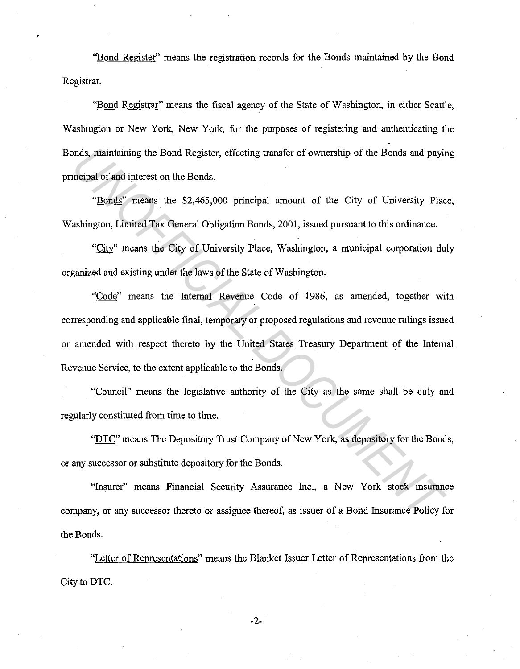"Bond Register" means the registration records for the Bonds maintained by the Bond Registrar.

''Bond Registrar" means the fiscal agency of the State of Washington, in either Seattle, Washington or New York, New York, for the purposes of registering and authenticating the Bonds, maintaining the Bond Register, effecting transfer of ownership of the Bonds and paying principal of and interest on the Bonds.

"Bonds" means the \$2,465,000 principal amount of the City of University Place, Washington, Limited Tax General Obligation Bonds, 2001, issued pursuant to this ordinance.

"City" means the City of University Place, Washington, a municipal corporation duly organized and existing under the laws of the State of Washington.

"Code" means the Internal Revenue Code of 1986, as amended, together with corresponding and applicable final, temporary or proposed regulations and revenue rulings issued or amended with respect thereto by the United States Treasury Department of the Internal Revenue Service, to the extent applicable to the Bonds. **Example 10** and interest on the Bond Register, effecting transfer of ownership of the Bonds and payin<br> **The UNOFFICIAL DOCUMENT CONCUMENT CONCUTE THE CONCUTE THE SET ON THE SET ON A SEMINATOR SET THE SET OF USING SET THE** 

"Council" means the legislative authority of the City as the same shall be duly and regularly constituted from time to time.

"DTC" means The Depository Trust Company of New York, as depository for the Bonds, or any successor or substitute depository for the Bonds.

"Insurer" means Financial Security Assurance Inc., a New York stock insurance company, or any successor thereto or assignee thereof, as issuer of a Bond Insurance Policy for the Bonds.

"Letter of Representations" means the Blanket Issuer Letter of Representations from the City to DTC.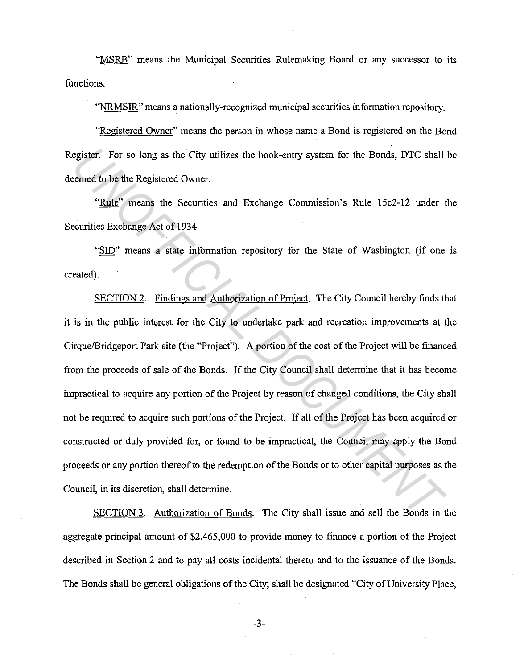"MSRB" means the Municipal Securities Rulemaking Board or any successor to its functions.

"NRMSIR" means a nationally-recognized municipal securities information repository.

"Registered Owner" means the person in whose name a Bond is registered on the Bond Register. For so long as the City utilizes the book-entry system for the Bonds, DTC shall be deemed to be the Registered Owner.

"Rule" means the Securities and Exchange Commission's Rule 1Sc2-12 under the Securities Exchange Act of 1934.

"SID" means a state information repository for the State of Washington (if one is created).

SECTION 2. Findings and Authorization of Project. The City Council hereby finds that it is in the public interest for the City to undertake park and recreation improvements at the Cirque/Bridgeport Park site (the "Project"). A portion of the cost of the Project will be financed from the proceeds of sale of the Bonds. If the City Council shall determine that it has become impractical to acquire any portion of the Project by reason of changed conditions, the City shall not be required to acquire such portions of the Project. If all of the Project has been acquired or constructed or duly provided for, or found to be impractical, the Council may apply the Bond proceeds or any portion thereof to the redemption of the Bonds or to other capital purposes as the Council, in its discretion, shall determine. egister. For so long as the City utilizes the book-entry system for the Bonds, DTC shall<br>
<u>Exerced</u> to be the Registered Owner.<br>
"<u>Rule</u>" means the Securities and Exchange Commission's Rule 15c2-12 under the<br>
"<u>Curlies</u> Ex

SECTION 3. Authorization of Bonds. The City shall issue and sell the Bonds in the aggregate principal amount of \$2,465,000 to provide money to finance a portion of the Project described in Section 2 and to pay all costs incidental thereto and to the issuance of the Bonds. The Bonds shall be general obligations of the City; shall be designated "City of University Place,

-3-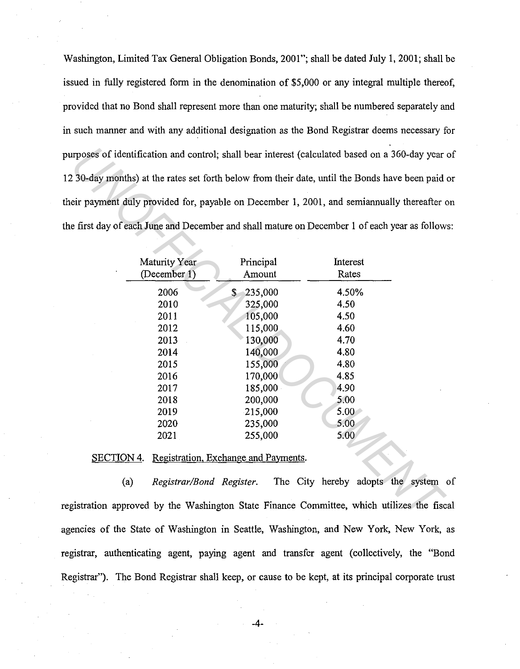Washington, Limited Tax General Obligation Bonds, 2001"; shall be dated July 1, 2001; shall be issued in fully registered form in the denomination of \$5,000 or any integral multiple thereof, provided that no Bond shall represent more than one maturity; shall be numbered separately and in such manner and with any additional designation as the Bond Registrar deems necessary for purposes of identification and control; shall bear interest (calculated based on a 360-day year of 12 30-day months) at the rates set forth below from their date, until the Bonds have been paid or their payment duly provided for, payable on December 1, 2001, and semiannually thereafter on the first day of each June and December and shall mature on December 1 of each year as follows:

|                               |                     | e first day of each June and December and shall mature on December 1 of each year as follow |  |
|-------------------------------|---------------------|---------------------------------------------------------------------------------------------|--|
| Maturity Year<br>(December 1) | Principal<br>Amount | Interest<br>Rates                                                                           |  |
| 2006                          | 235,000<br>\$       | 4.50%                                                                                       |  |
| 2010                          | 325,000             | 4.50                                                                                        |  |
| 2011                          | 105,000             | 4.50                                                                                        |  |
| 2012                          | 115,000             | 4.60                                                                                        |  |
| 2013                          | 130,000             | 4.70                                                                                        |  |
| 2014                          | 140,000             | 4.80                                                                                        |  |
| 2015                          | 155,000             | 4.80                                                                                        |  |
| 2016                          | 170,000             | 4.85                                                                                        |  |
| 2017                          | 185,000             | 4.90                                                                                        |  |
| 2018                          | 200,000             | 5.00                                                                                        |  |
| 2019                          | 215,000             | 5.00                                                                                        |  |
| 2020                          | 235,000             | 5.00                                                                                        |  |
|                               | 255,000             | 5.00                                                                                        |  |

(a) *Registrar/Bond Register.* The City hereby adopts the system of registration approved by the Washington State Finance Committee, which utilizes the fiscal agencies of the State of Washington in Seattle, Washington, and New York, New York, as registrar, authenticating agent, paying agent and transfer agent (collectively, the "Bond Registrar"). The Bond Registrar shall keep, or cause to be kept, at its principal corporate trust

-4-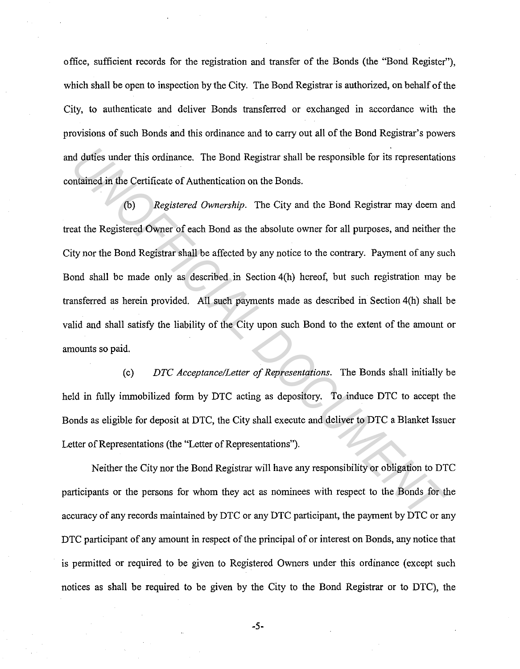office, sufficient records for the registration and transfer of the Bonds (the "Bond Register"), which shall be open to inspection by the City. The Bond Registrar is authorized, on behalf of the City, to authenticate and deliver Bonds transferred or exchanged in accordance with the provisions of such Bonds and this ordinance and to carry out all of the Bond Registrar's powers and duties under this ordinance. The Bond Registrar shall be responsible for its representations contained in the Certificate of Authentication on the Bonds.

(b) *Registered Ownership.* The City and the Bond Registrar may deem and treat the Registered Owner of each Bond as the absolute owner for all purposes, and neither the City nor the Bond Registrar shall be affected by any notice to the contrary. Payment of any such Bond shall be made only as described in Section 4(h) hereof, but such registration may be transferred as herein provided. All such payments made as described in Section 4(h) shall be valid and shall satisfy the liability of the City upon such Bond to the extent of the amount or amounts so paid. *Under* this ordinance. The Bond Registrar shall be responsible for its representation<br> *Underned in the Certificate of Authentication on the Bonds.*<br>
(b) *Registered Ownership*. The City and the Bond Registrar may deem an

(c) *DTC Acceptance/Letter of Representations.* The Bonds shall initially be held in fully immobilized form by DTC acting as depository. To induce DTC to accept the Bonds as eligible for deposit at DTC, the City shall execute and deliver to DTC a Blanket Issuer Letter of Representations (the "Letter of Representations").

Neither the City nor the Bond Registrar will have any responsibility or obligation to DTC participants or the persons for whom they act as nominees with respect to the Bonds for the accuracy of any records maintained by DTC or any DTC participant, the payment by DTC or any DTC participant of any amount in respect of the principal of or interest on Bonds, any notice that is permitted or required to be given to Registered Owners under this ordinance (except such notices as shall be required to be given by the City to the Bond Registrar or to DTC), the

-5-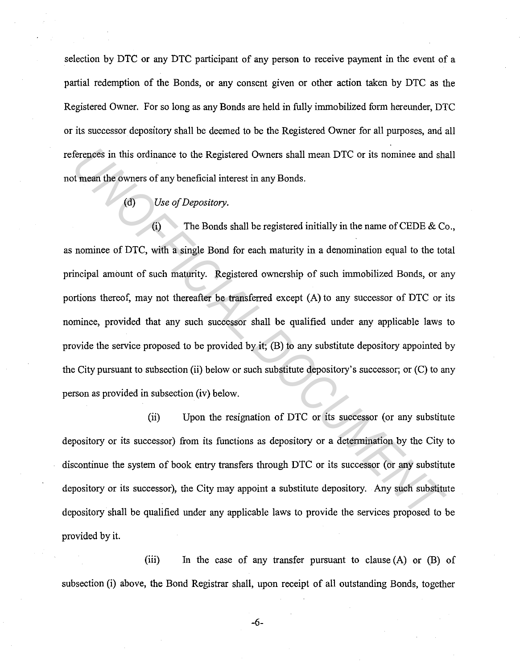selection by DTC or any DTC participant of any person to receive payment in the event of a partial redemption of the Bonds, or any consent given or other action taken by DTC as the Registered Owner. For so long as any Bonds are held in fully immobilized form hereunder, DTC or its successor depository shall be deemed to be the Registered Owner for all purposes, and all references in this ordinance to the Registered Owners shall mean DTC or its nominee and shall not mean the owners of any beneficial interest in any Bonds.

### (d) *Use of Depository.*

(i) The Bonds shall be registered initially in the name of CEDE & Co., as nominee of DTC, with a single Bond for each maturity in a denomination equal to the total principal amount of such maturity. Registered ownership of such immobilized Bonds, or any portions thereof, may not thereafter be transferred except (A) to any successor of DTC or its nominee, provided that any such successor shall be qualified under any applicable laws to provide the service proposed to be provided by it; (B) to any substitute depository appointed by the City pursuant to subsection (ii) below or such substitute depository's successor; or (C) to any person as provided in subsection (iv) below. Ferences in this ordinance to the Registered Owners shall mean DTC or its nominee and shall mean the owners of any beneficial interest in any Bonds.<br>
(d) Use of Depository.<br>
(i) The Bonds shall be registered initially in t

(ii) Upon the resignation of DTC or its successor (or any substitute depository or its successor) from its functions as depository or a determination by the City to discontinue the system of book entry transfers through DTC or its successor (or any substitute depository or its successor), the City may appoint a substitute depository. Any such substitute depository shall be qualified under any applicable laws to provide the services proposed to be provided by it.

(iii) In the case of any transfer pursuant to clause (A) or (B) of subsection (i) above, the Bond Registrar shall, upon receipt of all outstanding Bonds, together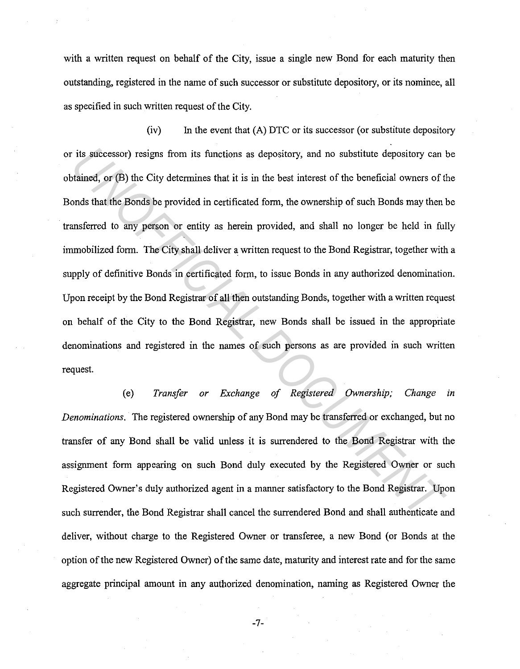with a written request on behalf of the City, issue a single new Bond for each maturity then outstanding, registered in the name of such successor or substitute depository, or its nominee, all as specified in such written request of the City.

 $(iv)$  In the event that  $(A)$  DTC or its successor (or substitute depository or its successor) resigns from its functions as depository, and no substitute depository can be obtained, or (B) the City determines that it is in the best interest of the beneficial owners of the Bonds that the Bonds be provided in certificated form, the ownership of such Bonds may then be transferred to any person or entity as herein provided, and shall no longer be held in fully immobilized form. The City shall deliver a written request to the Bond Registrar, together with a supply of definitive Bonds in certificated form, to issue Bonds in any authorized denomination. Upon receipt by the Bond Registrar of all then outstanding Bonds, together with a written request on behalf of the City to the Bond Registrar, new Bonds shall be issued in the appropriate denominations and registered in the names of such persons as are provided in such written request. its successor) resigns from its functions as depository, and no substitute depository can brained, or (B) the City determines that it is in the best interest of the beneficial owners of the Bonds that the Bonds be provided

(e) *Transfer or Exchange of Registered Ownership; Change in Denominations.* The registered ownership of any Bond may be transferred or exchanged, but no transfer of any Bond shall be valid unless it is surrendered to the Bond Registrar with the assignment form appearing on such Bond duly executed by the Registered Owner or such Registered Owner's duly authorized agent in a manner satisfactory to the Bond Registrar. Upon such surrender, the Bond Registrar shall cancel the surrendered Bond and shall authenticate and deliver, without charge to the Registered Owner or transferee, a new Bond (or Bonds at the option of the new Registered Owner) of the same date, maturity and interest rate and for the same aggregate principal amount in any authorized denomination, naming as Registered Owner the

-7-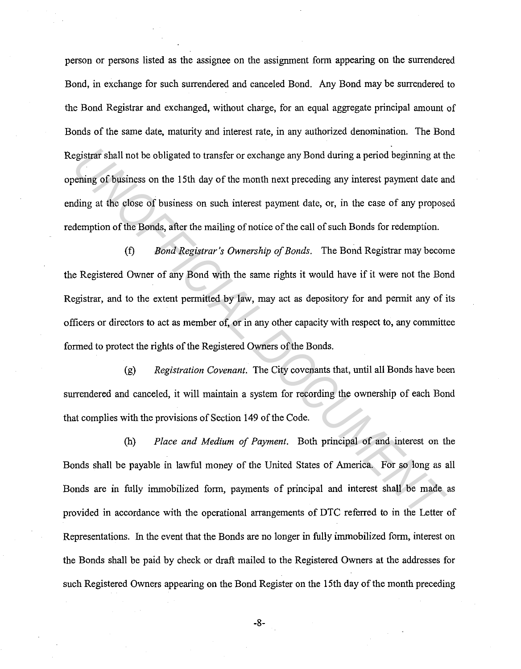person or persons listed as the assignee on the assignment form appearing on the surrendered Bond, in exchange for such surrendered and canceled Bond. Any Bond may be surrendered to the Bond Registrar and exchanged, without charge, for an equal aggregate principal amount of Bonds of the same date, maturity and interest rate, in any authorized denomination. The Bond Registrar shall not be obligated to transfer or exchange any Bond during a period beginning at the opening of business on the 15th day of the month next preceding any interest payment date and ending at the close of business on such interest payment date, or, in the case of any proposed redemption of the Bonds, after the mailing of notice of the call of such Bonds for redemption.

(f) *Bond Registrar's Ownership of Bonds.* The Bond Registrar may become the Registered Owner of any Bond with the same rights it would have if it were not the Bond Registrar, and to the extent permitted by law, may act as depository for and permit any of its officers or directors to act as member of, or in any other capacity with respect to, any committee formed to protect the rights of the Registered Owners of the Bonds. egistrar shall not be obligated to transfer or exchange any Bond during a period beginning at the eins of business on the 15th day of the month next preceding any interest payment date adding at the close of business on su

(g) *Registration Covenant.* The City covenants that, until all Bonds have been surrendered and canceled, it will maintain a system for recording the ownership of each Bond that complies with the provisions of Section 149 of the Code.

(h) *Place and Medium of Payment.* Both principal of and interest on the Bonds shall be payable in lawful money of the United States of America. For so long as all Bonds are in fully immobilized form, payments of principal and interest shall be made as provided in accordance with the operational arrangements of DTC referred to in the Letter of Representations. In the event that the Bonds are no longer in fully immobilized form, interest on the Bonds shall be paid by check or draft mailed to the Registered Owners at the addresses for such Registered Owners appearing on the Bond Register on the 15th day of the month preceding

-8-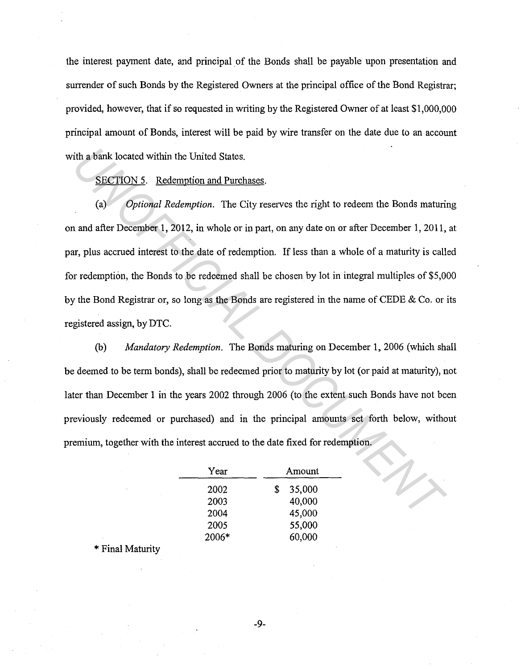the interest payment date, and principal of the Bonds shall be payable upon presentation and surrender of such Bonds by the Registered Owners at the principal office of the Bond Registrar; provided, however, that if so requested in writing by the Registered Owner of at least \$1,000,000 principal amount of Bonds, interest will be paid by wire transfer on the date due to an account with a bank located within the United States.

SECTION 5. Redemption and Purchases.

(a) *Optional Redemption.* The City reserves the right to redeem the Bonds maturing on and after December 1, 2012, in whole or in part, on any date on or after December 1, 2011, at par, plus accrued interest to the date of redemption. If less than a whole of a maturity is called for redemption, the Bonds to be redeemed shall be chosen by lot in integral multiples of \$5,000 by the Bond Registrar or, so long as the Bonds are registered in the name of CEDE & Co. or its registered assign, by DTC. ith a bank located within the United States.<br>
<u>SECTION 5.</u> Redemption and Purchases.<br>
(a) Optional Redemption. The City reserves the right to redeem the Bonds maturi:<br>
and after December 1, 2012, in whole or in part, on an

(b) *Mandatory Redemption.* The Bonds maturing on December 1, 2006 (which shall be deemed to be term bonds), shall be redeemed prior to maturity by lot (or paid at maturity), not later than December 1 in the years 2002 through 2006 (to the extent such Bonds have not been previously redeemed or purchased) and in the principal amounts set forth below, without premium, together with the interest accrued to the date fixed for redemption.

| Year  | Amount       |  |  |
|-------|--------------|--|--|
| 2002  | 35,000<br>\$ |  |  |
| 2003  | 40,000       |  |  |
| 2004  | 45,000       |  |  |
| 2005  | 55,000       |  |  |
| 2006* | 60,000       |  |  |

\* Final Maturity

-9-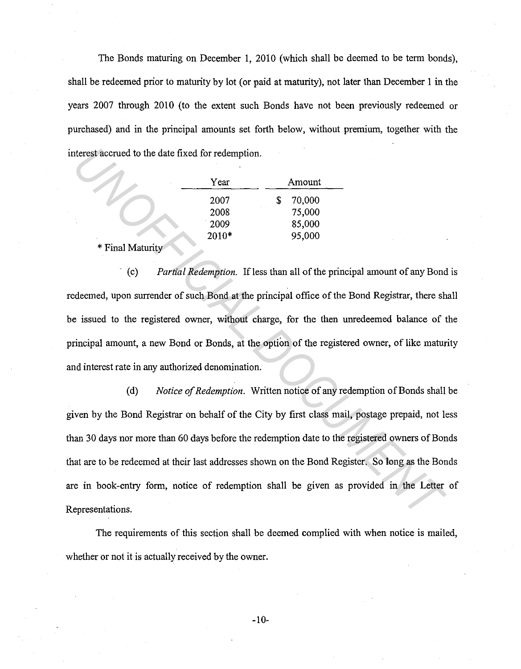The Bonds maturing on December 1, 2010 (which shall be deemed to be term bonds), shall be redeemed prior to maturity by lot (or paid at maturity), not later than December 1 in the years 2007 through 2010 (to the extent such Bonds have not been previously redeemed or purchased) and in the principal amounts set forth below, without premium, together with the interest accrued to the date fixed for redemption.

| Year    | Amount      |  |
|---------|-------------|--|
| 2007    | 70,000<br>S |  |
| 2008    | 75,000      |  |
| 2009    | 85,000      |  |
| $2010*$ | 95,000      |  |

\* Final Maturity

(c) *Partial Redemption.* If less than all of the principal amount of any Bond is redeemed, upon surrender of such Bond at the principal office of the Bond Registrar, there shall be issued to the registered owner, without charge, for the then unredeemed balance of the principal amount, a new Bond or Bonds, at the option of the registered owner, of like maturity and interest rate in any authorized denomination.

(d) *Notice of Redemption.* Written notice of any redemption of Bonds shall be given by the Bond Registrar on behalf of the City by first class mail, postage prepaid, not less than 30 days nor more than 60 days before the redemption date to the registered owners of Bonds that are to be redeemed at their last addresses shown on the Bond Register. So long as the Bonds are in book-entry form, notice of redemption shall be given as provided in the Letter of Representations. *Vear* Amount<br> *Year* Amount<br>
2007 <sup>7</sup> S 70,000<br>
2008 75,000<br>
2008 75,000<br> **ETHERENT MATURITY**<br>
2010\* **ETHERENT PROPERTIES**<br>
2010\* **ETHERENT PROPERTIES**<br>
2010\* **ETHERENT PROPERTIES**<br>
2010\* **ETHERENT PROPERTIES**<br>
2010\* **ETH** 

The requirements of this section shall be deemed complied with when notice is mailed, whether or not it is actually received by the owner.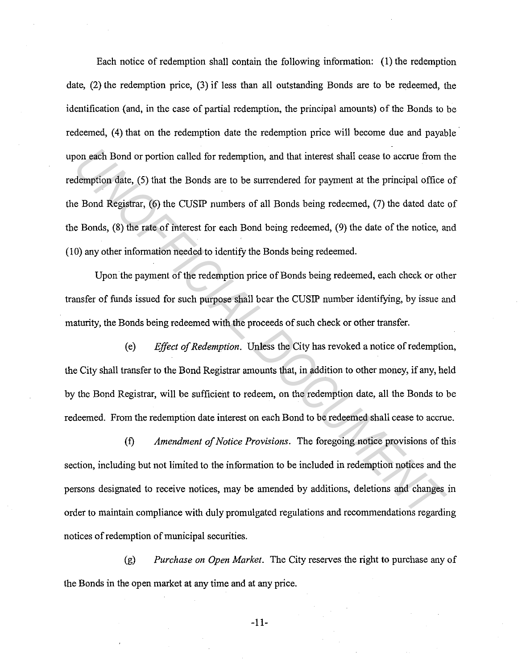Each notice of redemption shall contain the following information: (1) the redemption date, (2) the redemption price, (3) if less than all outstanding Bonds are to be redeemed, the identification (and, in the case of partial redemption, the principal amounts) of the Bonds to be redeemed, (4) that on the redemption date the redemption price will become due and payable upon each Bond or portion called for redemption, and that interest shall cease to accrue from the redemption date, (5) that the Bonds are to be surrendered for payment at the principal office of the Bond Registrar, (6) the CUSIP numbers of all Bonds being redeemed, (7) the dated date of the Bonds, (8) the rate of interest for each Bond being redeemed, (9) the date of the notice, and (10) any other information needed to identify the Bonds being redeemed. From the Bond or portion called for redemption, and that interest shall cease to accrue from the demption date, (5) that the Bonds are to be surrendered for payment at the principal office<br> **E** Bond Registrar, (6) the CUSI

Upon the payment of the redemption price of Bonds being redeemed, each check or other transfer of funds issued for such purpose shall bear the CUSIP number identifying, by issue and maturity, the Bonds being redeemed with the proceeds of such check or other transfer.

(e) *Effect of Redemption.* Unless the City has revoked a notice of redemption, the City shall transfer to the Bond Registrar amounts that, in addition to other money, if any, held by the Bond Registrar, will be sufficient to redeem, on the redemption date, all the Bonds to be redeemed. From the redemption date interest on each Bond to be redeemed shall cease to accrue.

(f) *Amendment of Notice Provisions.* The foregoing notice provisions of this section, including but not limited to the information to be included in redemption notices and the persons designated to receive notices, may be amended by additions, deletions and changes in order to maintain compliance with duly promulgated regulations and recommendations regarding notices of redemption of municipal securities.

(g) *Purchase on Open Market.* The City reserves the right to purchase any of the Bonds in the open market at any time and at any price.

-11-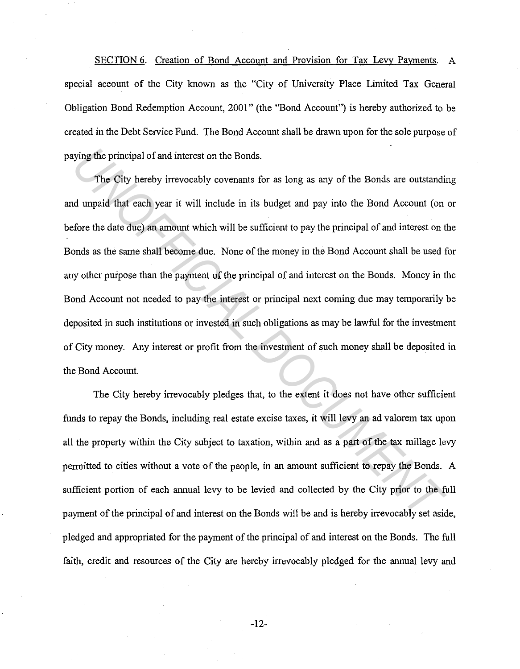SECTION 6. Creation of Bond Account and Provision for Tax Levy Payments. A special account of the City known as the "City of University Place Limited Tax General Obligation Bond Redemption Account, 2001" (the "Bond Account") is hereby authorized to be created in the Debt Service Fund. The Bond Account shall be drawn upon for the sole purpose of paying the principal of and interest on the Bonds.

The City hereby irrevocably covenants for as long as any of the Bonds are outstanding and unpaid that each year it will include in its budget and pay into the Bond Account (on or before the date due) an amount which will be sufficient to pay the principal of and interest on the Bonds as the same shall become due. None of the money in the Bond Account shall be used for any other purpose than the payment of the principal of and interest on the Bonds. Money in the Bond Account not needed to pay the interest or principal next coming due may temporarily be deposited in such institutions or invested in such obligations as may be lawful for the investment of City money. Any interest or profit from the investment of such money shall be deposited in the Bond Account. *Unitying the principal of and interest on the Bonds.*<br>The City hereby irrevocably covenants for as long as any of the Bonds are outstanding dunpaid that each year it will include in its budget and pay into the Bond Accoun

The City hereby irrevocably pledges that, to the extent it does not have other sufficient funds to repay the Bonds, including real estate excise taxes, it will levy an ad valorem tax upon all the property within the City subject to taxation, within and as a part of the tax millage levy permitted to cities without a vote of the people, in an amount sufficient to repay the Bonds. A sufficient portion of each annual levy to be levied and collected by the City prior to the full payment of the principal of and interest on the Bonds will be and is hereby irrevocably set aside, pledged and appropriated for the payment of the principal of and interest on the Bonds. The full faith, credit and resources of the City are hereby irrevocably pledged for the annual levy and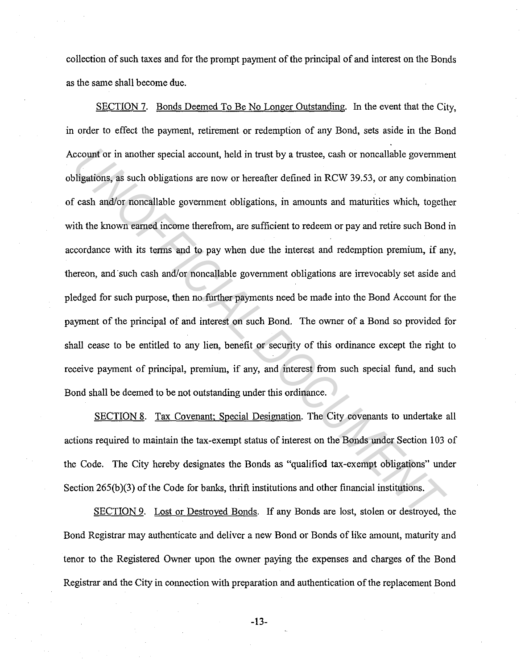collection of such taxes and for the prompt payment of the principal of and interest on the Bonds as the same shall become due.

SECTION 7. Bonds Deemed To Be No Longer Outstanding. In the event that the City, in order to effect the payment, retirement or redemption of any Bond, sets aside in the Bond Account or in another special account, held in trust by a trustee, cash or noncallable government obligations, as such obligations are now or hereafter defined in RCW 39.53, or any combination of cash and/or noncal!able government obligations, in amounts and maturities which, together with the known earned income therefrom, are sufficient to redeem or pay and retire such Bond in accordance with its terms and to pay when due the interest and redemption premium, if any, thereon, and such cash and/or noncallable government obligations are irrevocably set aside and pledged for such purpose, then no further payments need be made into the Bond Account for the payment of the principal of and interest on such Bond. The owner of a Bond so provided for shall cease to be entitled to any lien, benefit or security of this ordinance except the right to receive payment of principal, premium, if any, and interest from such special fund, and such Bond shall be deemed to be not outstanding under this ordinance. *Under to the special account,* held in trust by a trustee, cash or noncallable government bligations, as such obligations are now or hereafter defined in RCW 39.53, or any combinational cash and/or noncallable government

SECTION 8. Tax Covenant; Special Designation. The City covenants to undertake all actions required to maintain the tax-exempt status of interest on the Bonds under Section 103 of the Code. The City hereby designates the Bonds as "qualified tax-exempt obligations" under Section 265(b)(3) of the Code for banks, thrift institutions and other financial institutions.

SECTION 9. Lost or Destroyed Bonds. If any Bonds are lost, stolen or destroyed, the Bond Registrar may authenticate and deliver a new Bond or Bonds of like amount, maturity and tenor to the Registered Owner upon the owner paying the expenses and charges of the Bond Registrar and the City in connection with preparation and authentication of the replacement Bond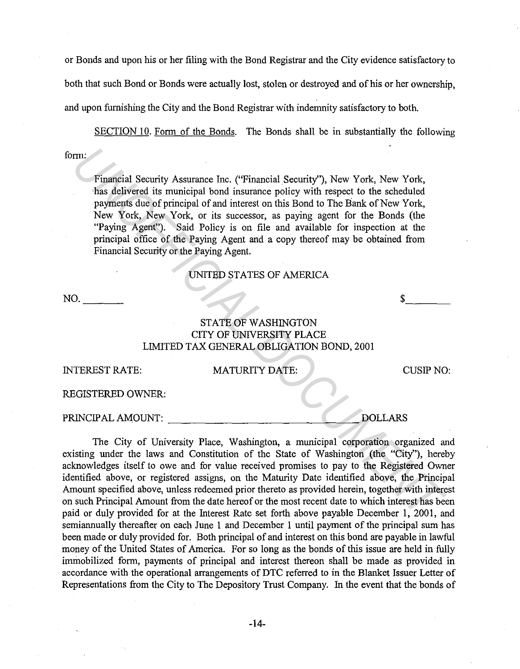or Bonds and upon his or her filing with the Bond Registrar and the City evidence satisfactory to both that such Bond or Bonds were actually lost, stolen or destroyed and of his or her ownership, and upon furnishing the City and the Bond Registrar with indemnity satisfactory to both.

form: SECTION 10. Form of the Bonds. The Bonds shall be in substantially the following

Financial Security Assurance Inc. ("Financial Security''), New York, New York, has delivered its municipal bond insurance policy with respect to the scheduled payments due of principal of and interest on this Bond to The Bank of New York, New York, New York, or its successor, as paying agent for the Bonds (the "Paying Agent"). Said Policy is on file and available for inspection at the principal office of the Paying Agent and a copy thereof may be obtained from Financial Security or the Paying Agent.

UNITED STATES OF AMERICA

NO. \_\_\_ \_ \$ \_\_\_ \_

# STATE OF WASHINGTON CITY OF UNNERSITY PLACE LIMITED TAX GENERAL OBLIGATION BOND, 2001

| INTEREST RATE:    | <b>MATURITY DATE:</b> | CUSIP NO. |
|-------------------|-----------------------|-----------|
| REGISTERED OWNER: |                       |           |

PRINCIPALAMOUNT: \_\_\_\_\_\_\_\_\_\_\_\_\_\_ DOLLARS

The City of University Place, Washington, a municipal corporation organized and existing under the laws and Constitution of the State of Washington (the "City''), hereby acknowledges itself to owe and for value received promises to pay to the Registered Owner identified above, or registered assigns, on the Maturity Date identified above, the Principal Amount specified above, unless redeemed prior thereto as provided herein, together with interest on such Principal Amount from the date hereof or the most recent date to which interest has been paid or duly provided for at the Interest Rate set forth above payable December 1, 2001, and semiannually thereafter on each June 1 and December 1 until payment of the principal sum has been made or duly provided for. Both principal of and interest on this bond are payable in lawful money of the United States of America. For so long as the bonds of this issue are held in fully immobilized form, payments of principal and interest thereon shall be made as provided in accordance with the operational arrangements of DTC referred to in the Blanket Issuer Letter of Representations from the City to The Depository Trust Company. In the event that the bonds of Financial Security Assurance Inc. ("Financial Security"), New York, New York,<br>
this delivered its municipal of and interast on this Bond to The Bank of New York,<br>
New York, New York, or its uscessor, as paying agent for th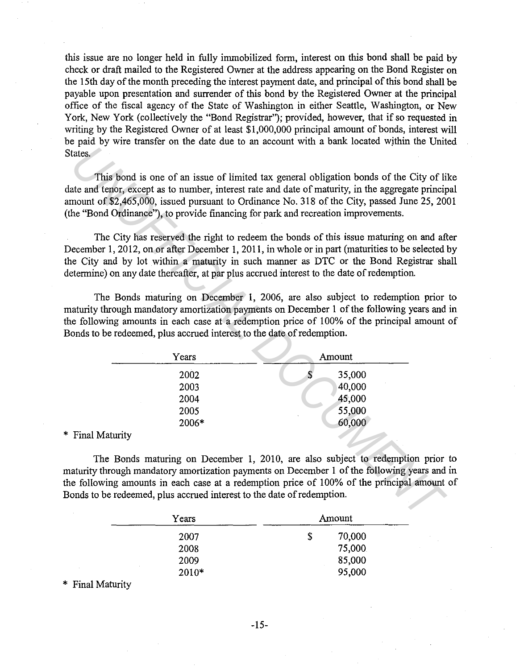this issue are no longer held in fully immobilized form, interest on this bond shall be paid by check or draft mailed to the Registered Owner at the address appearing on the Bond Register on the 15th day of the month preceding the interest payment date, and principal of this bond shall be payable upon presentation and surrender of this bond by the Registered Owner at the principal office of the fiscal agency of the State of Washington in either Seattle, Washington, or New York, New York (collectively the "Bond Registrar"); provided, however, that if so requested in writing by the Registered Owner of at least \$1,000,000 principal amount of bonds, interest will be paid by wire transfer on the date due to an account with a bank located wjthin the United States.

The City has reserved the right to redeem the bonds of this issue maturing on and after December 1, 2012, on or after December 1, 2011, in whole or in part (maturities to be selected by the City and by lot within a maturity in such manner as DTC or the Bond Registrar shall determine) on any date thereafter, at par plus accrued interest to the date of redemption.

The Bonds maturing on December I, 2006, are also subject to redemption prior to maturity through mandatory amortization payments on December 1 of the following years and in the following amounts in each case at a redemption price of 100% of the principal amount of Bonds to be redeemed, plus accrued interest to the date of redemption.

| tates.                                                                                    |              |                                                                                                                                                                                                                                                                                          |
|-------------------------------------------------------------------------------------------|--------------|------------------------------------------------------------------------------------------------------------------------------------------------------------------------------------------------------------------------------------------------------------------------------------------|
|                                                                                           |              |                                                                                                                                                                                                                                                                                          |
| he "Bond Ordinance"), to provide financing for park and recreation improvements.          |              | This bond is one of an issue of limited tax general obligation bonds of the City of li<br>ate and tenor, except as to number, interest rate and date of maturity, in the aggregate princip<br>mount of \$2,465,000, issued pursuant to Ordinance No. 318 of the City, passed June 25, 20 |
| etermine) on any date thereafter, at par plus accrued interest to the date of redemption. |              | The City has reserved the right to redeem the bonds of this issue maturing on and aft<br>ecember 1, 2012, on or after December 1, 2011, in whole or in part (maturities to be selected<br>e City and by lot within a maturity in such manner as DTC or the Bond Registrar sh             |
| onds to be redeemed, plus accrued interest to the date of redemption.<br>Years            |              | The Bonds maturing on December 1, 2006, are also subject to redemption prior<br>aturity through mandatory amortization payments on December 1 of the following years and<br>e following amounts in each case at a redemption price of 100% of the principal amount<br>Amount             |
|                                                                                           |              |                                                                                                                                                                                                                                                                                          |
| 2002                                                                                      | $\mathbf{s}$ | 35,000                                                                                                                                                                                                                                                                                   |
| 2003                                                                                      |              | 40,000                                                                                                                                                                                                                                                                                   |
| 2004                                                                                      |              | 45,000                                                                                                                                                                                                                                                                                   |
| 2005                                                                                      |              | 55,000                                                                                                                                                                                                                                                                                   |
| 2006*                                                                                     |              | 60,000                                                                                                                                                                                                                                                                                   |
| Final Maturity                                                                            |              |                                                                                                                                                                                                                                                                                          |
| onds to be redeemed, plus accrued interest to the date of redemption.                     |              | The Bonds maturing on December 1, 2010, are also subject to redemption prior<br>aturity through mandatory amortization payments on December 1 of the following years and<br>e following amounts in each case at a redemption price of 100% of the principal amount                       |
|                                                                                           |              |                                                                                                                                                                                                                                                                                          |

\* Final Maturity

The Bonds maturing on December 1, 2010, are also subject to redemption prior to maturity through mandatory amortization payments on December 1 of the following years and in the following amounts in each case at a redemption price of I 00% of the principal amount of Bonds to be redeemed, plus accrued interest to the date of redemption.

| Years | Amount |        |  |
|-------|--------|--------|--|
| 2007  | \$     | 70,000 |  |
| 2008  |        | 75,000 |  |
| 2009  |        | 85,000 |  |
| 2010* |        | 95,000 |  |

\* Final Maturity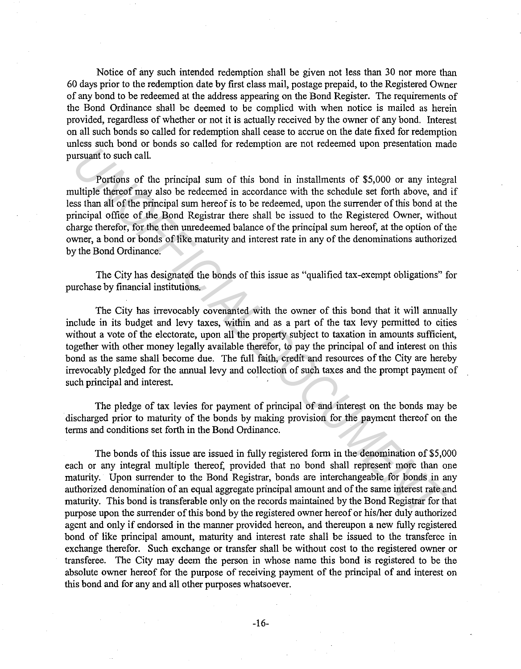Notice of any such intended redemption shall be given not less than 30 nor more than 60 days prior to the redemption date by first class mail, postage prepaid, to the Registered Owner of any bond to be redeemed at the address appearing on the Bond Register. The requirements of the Bond Ordinance shall be deemed to be complied with when notice is mailed as herein provided, regardless of whether or not it is actually received by the owner of any bond. Interest on all such bonds so called for redemption shall cease to accrue on the date fixed for redemption unless such bond or bonds so called for redemption are not redeemed upon presentation made pursuant to such call.

Portions of the principal sum of this bond in installments of \$5,000 or any integral multiple thereof may also be redeemed in accordance with the schedule set forth above, and if less than all of the principal sum hereof is to be redeemed, upon the surrender of this bond at the principal office of the Bond Registrar there shall be issued to the Registered Owner, without charge therefor, for the then unredeemed balance of the principal sum hereof, at the option of the owner, a bond or bonds of like maturity and interest rate in any of the denominations authorized by the Bond Ordinance.

The City has designated the bonds of this issue as "qualified tax-exempt obligations" for purchase by financial institutions.

The City has irrevocably covenanted with the owner of this bond that it will annually include in its budget and levy taxes, within and as a part of the tax levy permitted to cities without a vote of the electorate, upon all the property subject to taxation in amounts sufficient, together with other money legally available therefor, to pay the principal of and interest on this bond as the same shall become due. The full faith, credit and resources of the City are hereby irrevocably pledged for the annual levy and collection of such taxes and the prompt payment of such principal and interest. *UNION State of the pincipal sum of this bond in installments of \$5,000 or any integration sumate the state of the select of the select of the select of the select of the select of the select of the select of the select of* 

The pledge of tax levies for payment of principal of and interest on the bonds may be discharged prior to maturity of the bonds by making provision for the payment thereof on the terms and conditions set forth in the Bond Ordinance.

The bonds of this issue are issued in fully registered form in the denomination of \$5,000 each or any integral multiple thereof, provided that no bond shall represent more than one maturity. Upon surrender to the Bond Registrar, bonds are interchangeable for bonds in any authorized denomination of an equal aggregate principal amount and of the same interest rate and maturity. This bond is transferable only on the records maintained by the Bond Registrar for that purpose upon the surrender of this bond by the registered owner hereof or his/her duly authorized agent and only if endorsed in the manner provided hereon, and thereupon a new fully registered bond of like principal amount, maturity and interest rate shall be issued to the transferee in exchange therefor. Such exchange or transfer shall be without cost to the registered owner or transferee. The City may deem the person in whose name this bond is registered to be the absolute owner hereof for the purpose of receiving payment of the principal of and interest on this bond and for any and all other purposes whatsoever.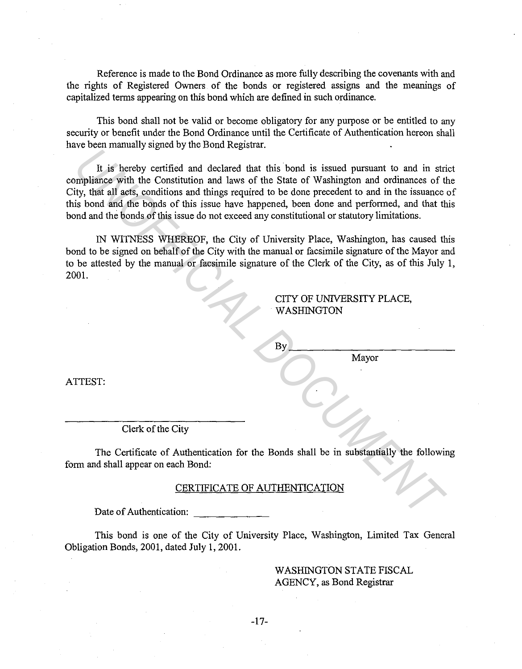Reference is made to the Bond Ordinance as more fully describing the covenants with and the rights of Registered Owners of the bonds or registered assigns and the meanings of capitalized terms appearing on this bond which are defined in such ordinance.

This bond shall not be valid or become obligatory for any purpose or be entitled to any security or benefit under the Bond Ordinance until the Certificate of Authentication hereon shall have been manually signed by the Bond Registrar.

It is hereby certified and declared that this bond is issued pursuant to and in strict compliance with the Constitution and laws of the State of Washington and ordinances of the City, that all acts, conditions and things required to be done precedent to and in the issuance of this bond and the bonds of this issue have happened, been done and performed, and that this bond and the bonds of this issue do not exceed any constitutional or statutory limitations. **EXECUTE ANTERNATION**<br>
The Sharehove contribution and laws of the State of Washington and ordinances of the minimis with the Constitution and laws of the State of Washington and ordinances of the state sissing is bond and

IN WITNESS WHEREOF, the City of University Place, Washington, has caused this bond to be signed on behalf of the City with the manual or facsimile signature of the Mayor and to be attested by the manual or facsimile signature of the Clerk of the City, as of this July 1, 2001.

## CITY OF UNIVERSITY PLACE, WASHINGTON

Mayor

ATTEST:

Clerk of the City

The Certificate of Authentication for the Bonds shall be in substantially the following form and shall appear on each Bond:

#### CERTIFICATE OF AUTHENTICATION

Date of Authentication:

This bond is one of the City of University Place, Washington, Limited Tax General Obligation Bonds, 2001, dated July 1, 2001.

> WASHINGTON STATE FISCAL AGENCY, as Bond Registrar

-17-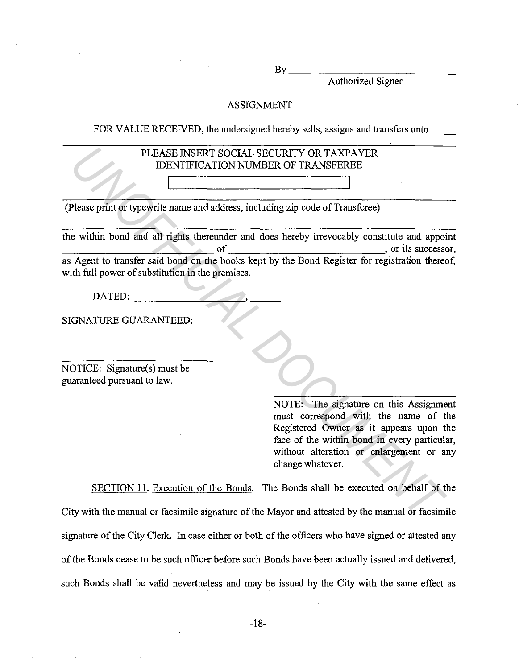$By$ 

Authorized Signer

## ASSIGNMENT

FOR VALUE RECEIVED, the undersigned hereby sells, assigns and transfers unto

## PLEASE INSERT SOCIAL SECURITY OR TAXPAYER IDENTIFICATION NUMBER OF TRANSFEREE

(Please print or typewrite name and address, including zip code of Transferee)

the within bond and all rights thereunder and does hereby irrevocably constitute and appoint the within bond and all rights thereunder and does hereby irrevocably constitute and appoint<br>of  $\frac{1}{\sqrt{1-\frac{1}{n}}}\$ , or its successor, as Agent to transfer said bond on the books kept by the Bond Register for registration with full power of substitution in the premises. PLEASE INSERT SOCIAL SECURITY OR TAXPAYER<br>
IDENTIFICATION NUMBER OF TRANSFEREE<br>
Please print of typewite name and address, including zip code of Transferee)<br>
e within bond and all rights thereunder and does hereby irrevoca

SIGNATURE GUARANTEED:

NOTICE: Signature(s) must be guaranteed pursuant to law.

> NOTE: The signature on this Assignment must correspond with the name of the Registered Owner as it appears upon the face of the within bond in every particular, without alteration or enlargement or any change whatever.

SECTION 11. Execution of the Bonds. The Bonds shall be executed on behalf of the City with the manual or facsimile signature of the Mayor and attested by the manual or facsimile signature of the City Clerk. In case either or both of the officers who have signed or attested any of the Bonds cease to be such officer before such Bonds have been actually issued and delivered, such Bonds shall be valid nevertheless and may be issued by the City with the same effect as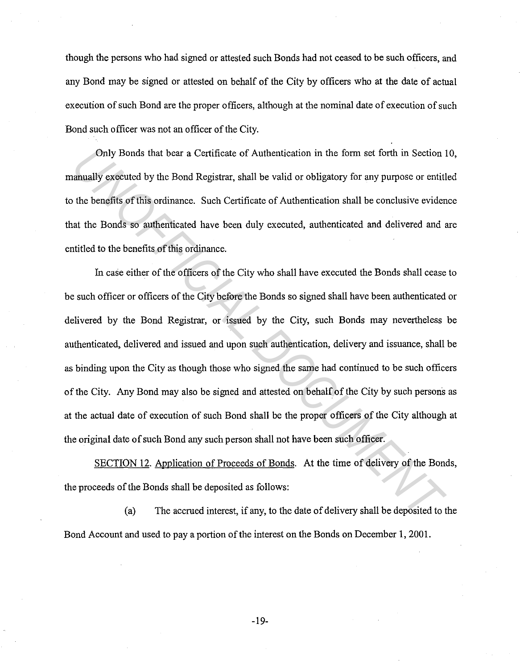though the persons who had signed or attested such Bonds had not ceased to be such officers, and any Bond may be signed or attested on behalf of the City by officers who at the date of actual execution of such Bond are the proper officers, although at the nominal date of execution of such Bond such officer was not an officer of the City.

Only Bonds that bear a Certificate of Authentication in the form set forth in Section 10, manually executed by the Bond Registrar, shall be valid or obligatory for any purpose or entitled to the benefits of this ordinance. Such Certificate of Authentication shall be conclusive evidence that the Bonds so authenticated have been duly executed, authenticated and delivered and are entitled to the benefits of this ordinance.

In case either of the officers of the City who shall have executed the Bonds shall cease to be such officer or officers of the City before the Bonds so signed shall have been authenticated or delivered by the Bond Registrar, or issued by the City, such Bonds may nevertheless be authenticated, delivered and issued and upon such authentication, delivery and issuance, shall be as binding upon the City as though those who signed the same had continued to be such officers of the City. Any Bond may also be signed and attested on behalf of the City by such persons as at the actual date of execution of such Bond shall be the proper officers of the City although at the original date of such Bond any such person shall not have been such officer. Only Bonds that bear a Certificate of Authentication in the form set forth in Section lanually executed by the Bond Registrar, shall be valid or obligatory for any purpose or entiti<br>the benefits of this ordinance. Such Cer

SECTION 12. Application of Proceeds of Bonds. At the time of delivery of the Bonds, the proceeds of the Bonds shall be deposited as follows:

(a) The accrued interest, if any, to the date of delivery shall be deposited to the Bond Account and used to pay a portion of the interest on the Bonds on December 1, 2001.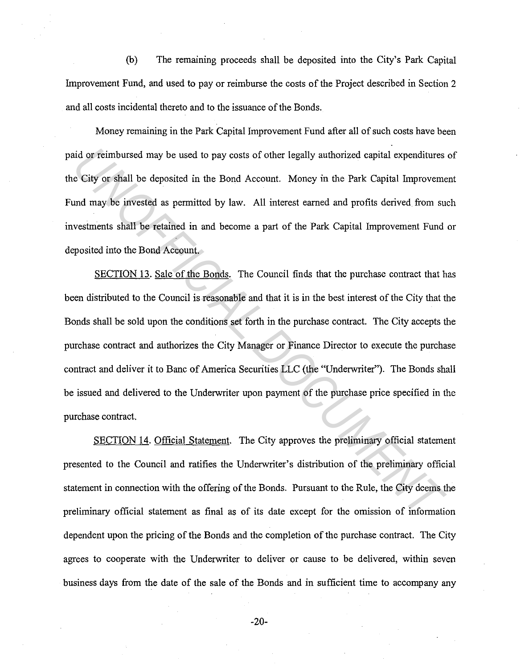(b) The remaining proceeds shall be deposited into the City's Park Capital Improvement Fund, and used to pay or reimburse the costs of the Project described in Section 2 and all costs incidental thereto and to the issuance of the Bonds.

Money remaining in the Park Capital Improvement Fund after all of such costs have been paid or reimbursed may be used to pay costs of other legally authorized capital expenditures of the City or shall be deposited in the Bond Account. Money in the Park Capital Improvement Fund may be invested as permitted by law. All interest earned and profits derived from such investments shall be retained in and become a part of the Park Capital Improvement Fund or deposited into the Bond Account.

SECTION 13. Sale of the Bonds. The Council finds that the purchase contract that has been distributed to the Council is reasonable and that it is in the best interest of the City that the Bonds shall be sold upon the conditions set forth in the purchase contract. The City accepts the purchase contract and authorizes the City Manager or Finance Director to execute the purchase contract and deliver it to Banc of America Securities LLC (the "Underwriter"). The Bonds shall be issued and delivered to the Underwriter upon payment of the purchase price specified in the purchase contract. In the offer the best of the book of the regally authorized capital expenditures<br> **City or shall** be deposited in the Bond Account. Money in the Park Capital Improvement<br>
Independent may be invested as permitted by law. Al

SECTION 14. Official Statement. The City approves the preliminary official statement presented to the Council and ratifies the Underwriter's distribution of the preliminary official statement in connection with the offering of the Bonds. Pursuant to the Rule, the City deems the preliminary official statement as final as of its date except for the omission of information dependent upon the pricing of the Bonds and the completion of the purchase contract. The City agrees to cooperate with the Underwriter to deliver or cause to be delivered, within seven business days from the date of the sale of the Bonds and in sufficient time to accompany any

-20-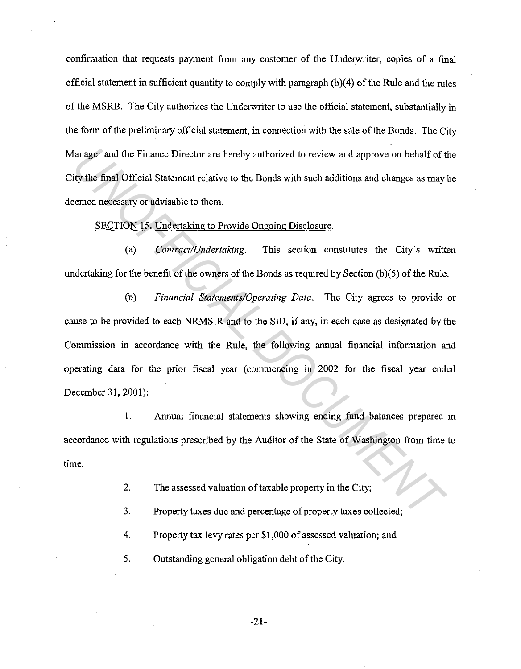confirmation that requests payment from any customer of the Underwriter, copies of a final official statement in sufficient quantity to comply with paragraph (b)(4) of the Rule and the rules of the MSRB. The City authorizes the Underwriter to use the official statement, substantially in the form of the preliminary official statement, in connection with the sale of the Bonds. The City Manager and the Finance Director are hereby authorized to review and approve on behalf of the City the final. Official Statement relative to the Bonds with such additions and changes as may be deemed necessary or advisable to them.

SECTION 15. Undertaking to Provide Ongoing Disclosure.

(a) *Contract/Undertaking.* This section constitutes the City's written undertaking for the benefit of the owners of the Bonds as required by Section (b)(5) of the Rule.

(b) *Financial Statements/Operating Data.* The City agrees to provide or cause to be provided to each NRMSIR and to the SID, if any, in each case as designated by the Commission in accordance with the Rule, the following annual financial information and operating data for the prior fiscal year (commencing in 2002 for the fiscal year ended December 31, 2001): Example and the Finance Director are hereby authorized to review and approve on behalf of the final Official Statement relative to the Bonds with such additions and changes as may be the final Official Statement relative t

1. Annual financial statements showing ending fund balances prepared in accordance with regulations prescribed by the Auditor of the State of Washington from time to time.

2. The assessed valuation of taxable property in the City;

3. Property taxes due and percentage of property taxes collected;

4. Property tax levy rates per \$1,000 of assessed valuation; and

5. Outstanding general obligation debt of the City.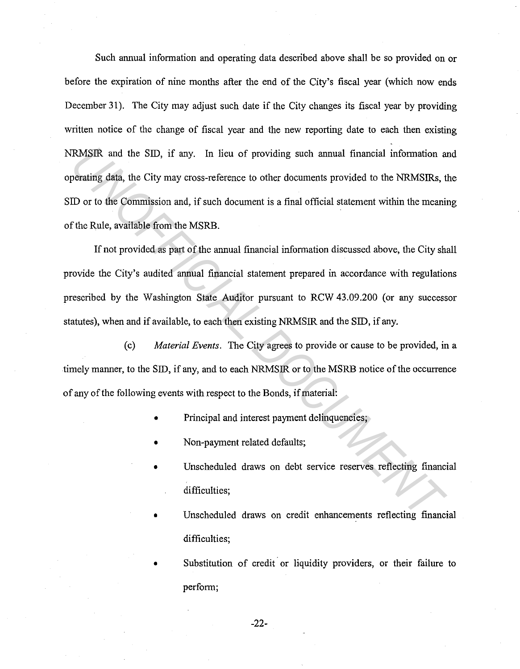Such annual information and operating data described above shall be so provided on or before the expiration of nine months after the end of the City's fiscal year (which now ends December 31). The City may adjust such date if the City changes its fiscal year by providing written notice of the change of fiscal year and the new reporting date to each then existing NRMSIR and the SID, if any. In lieu of providing such annual financial information and operating data, the City may cross-reference to other documents provided to the NRMSIRs, the SID or to the Commission and, if such document is a final official statement within the meaning of the Rule, available from the MSRB. **EXASIR** and the SID, if any. In lieu of providing such annual financial information a<br> **UP of the Commission and, if such document is a final official statement within the meaning data, the City may cross-reference to oth** 

If not provided as part of the annual financial information discussed above, the City shall provide the City's audited annual financial statement prepared in accordance with regulations prescribed by the Washington State Auditor pursuant to RCW 43.09.200 (or any successor statutes), when and if available, to each then existing NRMSIR and the SID, if any.

( c) *Material Events.* The City agrees to provide or cause to be provided, in a timely manner, to the SID, if any, and to each NRMSIR or to the MSRB notice of the occurrence of any of the following events with respect to the Bonds, if material:

- Principal and interest payment delinquencies;
- Non-payment related defaults;
- Unscheduled draws on debt service reserves reflecting financial difficulties;
- Unscheduled draws on credit enhancements reflecting financial difficulties;
- Substitution of credit or liquidity providers, or their failure to perform;

-22-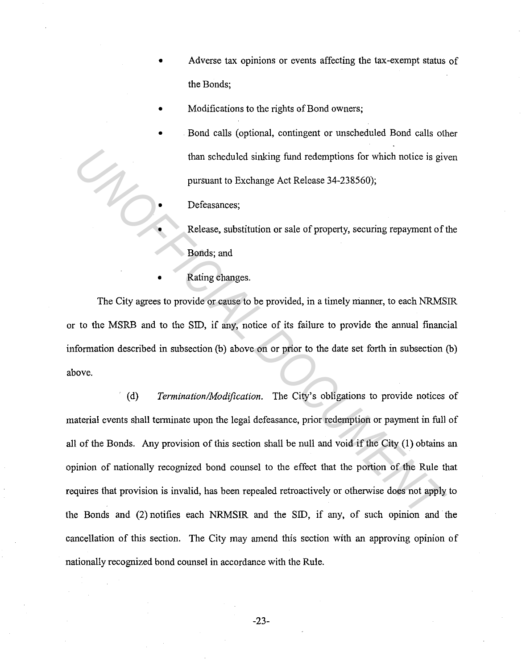- Adverse tax opinions or events affecting the tax-exempt status of the Bonds;
- Modifications to the rights of Bond owners;
- Bond calls (optional, contingent or unscheduled Bond calls other than scheduled sinking fund redemptions for which notice is given pursuant to Exchange Act Release 34-238560);
	- Defeasances;
		- Release, substitution or sale of property, securing repayment of the Bonds; and
- Rating changes.

The City agrees to provide or cause to be provided, in a timely manner, to each NRMSIR or to the MSRB and to the SID, if any, notice of its failure to provide the annual financial information described in subsection (b) above on or prior to the date set forth in subsection (b) above.

(d) *Termination/Modification.* The City's obligations to provide notices of material events shall terminate upon the legal defeasance, prior redemption or payment in full of all of the Bonds. Any provision of this section shall be null and void if the City (1) obtains an opinion of nationally recognized bond counsel to the effect that the portion of the Rule that requires that provision is invalid, has been repealed retroactively or otherwise does not apply to the Bonds and (2) notifies each NRMSIR and the SID, if any, of such opinion and the cancellation of this section. The City may amend this section with an approving opinion of nationally recognized bond counsel in accordance with the Rule. **Example 2018** than scheduled sinking fund redemptions for which notice is giv pursuant to Exchange Act Release 34-238560);<br> **Defeasances;**<br> **Release, substitution or sale of property, securing repayment of Bonds; and**<br> **R**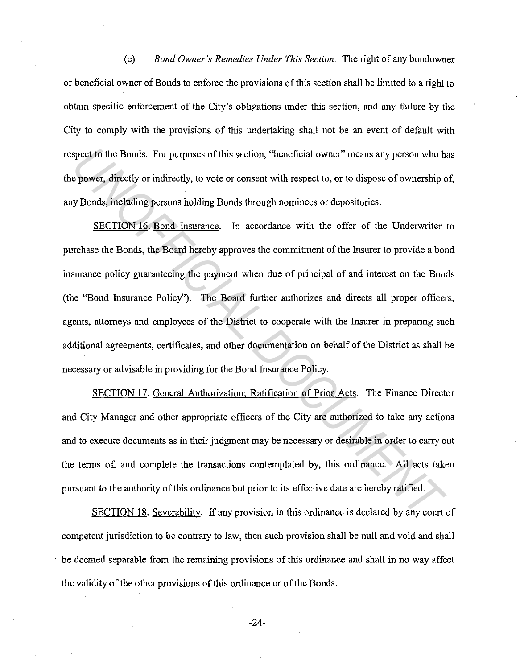(e) *Bond Owner's Remedies Under This Section.* The right of any bondowner or beneficial owner of Bonds to enforce the provisions of this section shall be limited to a right to obtain specific enforcement of the City's obligations under this section, and any failure by the City to comply with the provisions of this undertaking shall not be an event of default with respect to the Bonds. For purposes of this section, "beneficial owner" means any person who has the power, directly or indirectly, to vote or consent with respect to, or to dispose of ownership of, any Bonds, including persons holding Bonds through nominees or depositories.

SECTION 16. Bond Insurance. In accordance with the offer of the Underwriter to purchase the Bonds, the Board hereby approves the commitment of the Insurer to provide a bond insurance policy guaranteeing the payment when due of principal of and interest on the Bonds (the "Bond Insurance Policy"). The Board further authorizes and directs all proper officers, agents, attorneys and employees of the District to cooperate with the Insurer in preparing such additional agreements, certificates, and other documentation on behalf of the District as shall be necessary or advisable in providing for the Bond Insurance Policy. spect to the Bonds. For purposes of this section, "beneficial owner" means any person who he power, directly or indirectly, to vote or consent with respect to, or to dispose of ownership cy Bonds, including persons holding

SECTION 17. General Authorization; Ratification of Prior Acts. The Finance Director and City Manager and other appropriate officers of the City are authorized to take any actions and to execute documents as in their judgment may be necessary or desirable in order to carry out the terms of, and complete the transactions contemplated by, this ordinance. All acts taken pursuant to the authority of this ordinance but prior to its effective date are hereby ratified.

SECTION 18. Severability. If any provision in this ordinance is declared by any court of competent jurisdiction to be contrary to law, then such provision shall be null and void and shall be deemed separable from the remaining provisions of this ordinance and shall in no way affect the validity of the other provisions of this ordinance or of the Bonds.

-24-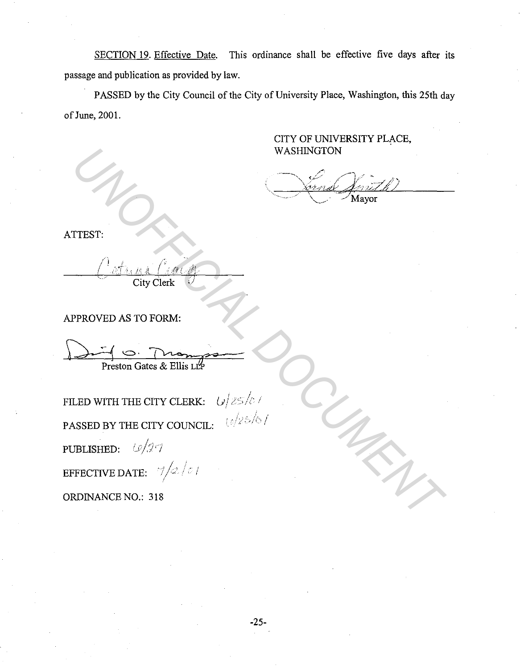SECTION 19. Effective Date. This ordinance shall be effective five days after its passage and publication as provided by law.

PASSED by the City Council of the City of University Place, Washington, this 25th day of June, 2001.

> CITY OF UNIVERSITY PLACE, WASHINGTON

Mayor

ATTEST:

 $\mathcal{L}$ / <u>- ATA, MA</u> City Clerk . I *•/* 

APPROVED AS TO FORM:

Preston Gates & Ellis LLP

FILED WITH THE CITY CLERK: PASSED BY THE CITY COUNCIL: PUBLISHED:  $\omega/\mathcal{I}$ EFFECTIVE DATE:  $\frac{1}{2}$  / *2* / *0* /  $U$   $\ge$   $/c$  /  $10/25/61$ WASHINGTON<br>
TTEST:<br>
THEST:<br>
CONFICIAL DOCUMENT<br>
PROVED AS TO FORM:<br>
PROVED AS TO FORM:<br>
PROVED AS TO FORM:<br>
PROVED AS TO FORM:<br>
USED WITH THE CITY COUNCIL:<br>
USED BY THE CITY COUNCIL:<br>
USED BY THE CITY COUNCIL:<br>
USED BY THE

ORDINANCE NO.: 318